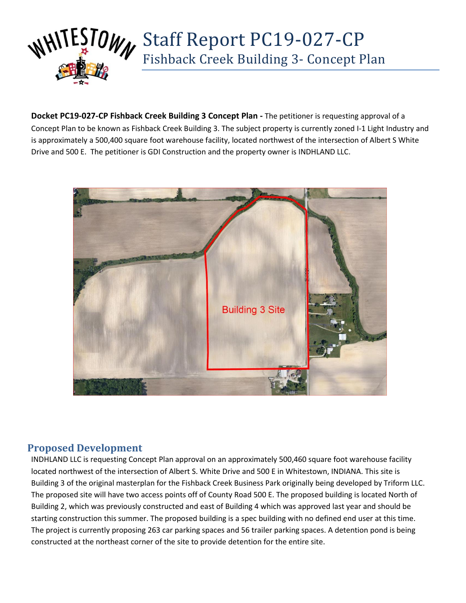

**Docket PC19-027-CP Fishback Creek Building 3 Concept Plan -** The petitioner is requesting approval of a Concept Plan to be known as Fishback Creek Building 3. The subject property is currently zoned I-1 Light Industry and is approximately a 500,400 square foot warehouse facility, located northwest of the intersection of Albert S White Drive and 500 E. The petitioner is GDI Construction and the property owner is INDHLAND LLC.

Fishback Creek Building 3- Concept Plan



# **Proposed Development**

INDHLAND LLC is requesting Concept Plan approval on an approximately 500,460 square foot warehouse facility located northwest of the intersection of Albert S. White Drive and 500 E in Whitestown, INDIANA. This site is Building 3 of the original masterplan for the Fishback Creek Business Park originally being developed by Triform LLC. The proposed site will have two access points off of County Road 500 E. The proposed building is located North of Building 2, which was previously constructed and east of Building 4 which was approved last year and should be starting construction this summer. The proposed building is a spec building with no defined end user at this time. The project is currently proposing 263 car parking spaces and 56 trailer parking spaces. A detention pond is being constructed at the northeast corner of the site to provide detention for the entire site.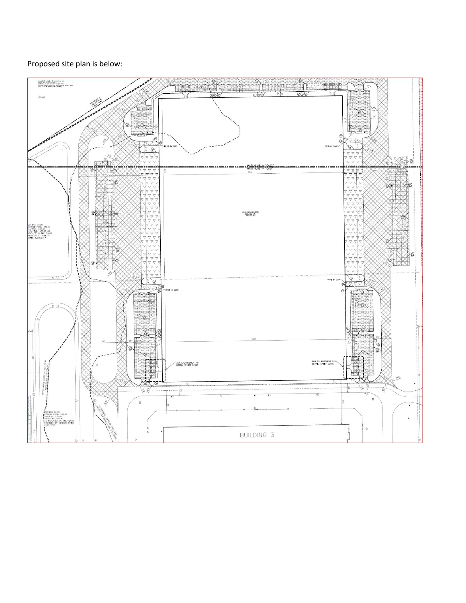#### Proposed site plan is below: